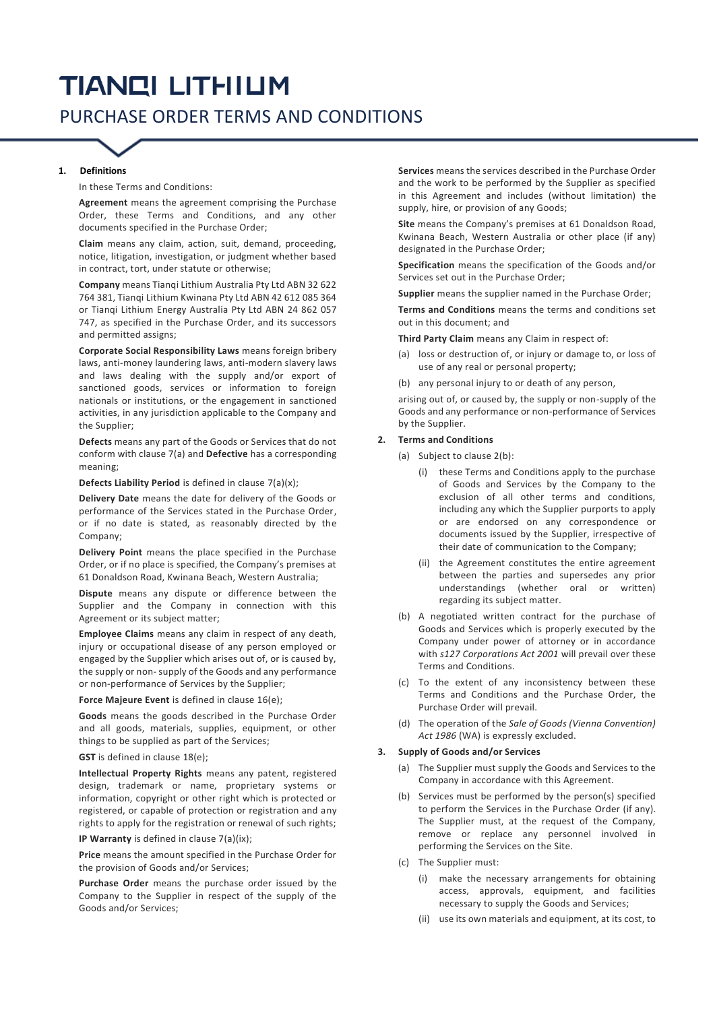# **TIANCI LITHIUM** PURCHASE ORDER TERMS AND CONDITIONS

### **1. Definitions**

In these Terms and Conditions:

**Agreement** means the agreement comprising the Purchase Order, these Terms and Conditions, and any other documents specified in the Purchase Order;

**Claim** means any claim, action, suit, demand, proceeding, notice, litigation, investigation, or judgment whether based in contract, tort, under statute or otherwise;

**Company** means Tianqi Lithium Australia Pty Ltd ABN 32 622 764 381, Tianqi Lithium Kwinana Pty Ltd ABN 42 612 085 364 or Tianqi Lithium Energy Australia Pty Ltd ABN 24 862 057 747, as specified in the Purchase Order, and its successors and permitted assigns;

**Corporate Social Responsibility Laws** means foreign bribery laws, anti-money laundering laws, anti-modern slavery laws and laws dealing with the supply and/or export of sanctioned goods, services or information to foreign nationals or institutions, or the engagement in sanctioned activities, in any jurisdiction applicable to the Company and the Supplier;

**Defects** means any part of the Goods or Services that do not conform with clause 7(a) and **Defective** [has a corresponding](#page-1-0) [meaning;](#page-1-0)

**Defects Liability Period** is defined in clause [7\(a\)\(x\);](#page-1-1)

**Delivery Date** means the date for delivery of the Goods or performance of the Services stated in the Purchase Order, or if no date is stated, as reasonably directed by the Company;

**Delivery Point** means the place specified in the Purchase Order, or if no place is specified, the Company's premises at 61 Donaldson Road, Kwinana Beach, Western Australia;

**Dispute** means any dispute or difference between the Supplier and the Company in connection with this Agreement or its subject matter;

**Employee Claims** means any claim in respect of any death, injury or occupational disease of any person employed or engaged by the Supplier which arises out of, or is caused by, the supply or non- supply of the Goods and any performance or non-performance of Services by the Supplier;

**Force Majeure Event** is defined in clause [16\(e\);](#page-3-0)

**Goods** means the goods described in the Purchase Order and all goods, materials, supplies, equipment, or other things to be supplied as part of the Services;

**GST** is defined in claus[e 18\(e\);](#page-3-1)

**Intellectual Property Rights** means any patent, registered design, trademark or name, proprietary systems or information, copyright or other right which is protected or registered, or capable of protection or registration and any rights to apply for the registration or renewal of such rights;

**IP Warranty** is defined in clause 7(a)(ix);

**Price** means the amount specified in the Purchase Order for the provision of Goods and/or Services;

**Purchase Order** means the purchase order issued by the Company to the Supplier in respect of the supply of the Goods and/or Services;

**Services** means the services described in the Purchase Order and the work to be performed by the Supplier as specified in this Agreement and includes (without limitation) the supply, hire, or provision of any Goods;

**Site** means the Company's premises at 61 Donaldson Road, Kwinana Beach, Western Australia or other place (if any) designated in the Purchase Order;

**Specification** means the specification of the Goods and/or Services set out in the Purchase Order;

**Supplier** means the supplier named in the Purchase Order;

**Terms and Conditions** means the terms and conditions set out in this document; and

**Third Party Claim** means any Claim in respect of:

- (a) loss or destruction of, or injury or damage to, or loss of use of any real or personal property;
- (b) any personal injury to or death of any person,

arising out of, or caused by, the supply or non-supply of the Goods and any performance or non-performance of Services by the Supplier.

#### **2. Terms and Conditions**

- (a) Subject to clause 2(b):
	- (i) these Terms and Conditions apply to the purchase of Goods and Services by the Company to the exclusion of all other terms and conditions, including any which the Supplier purports to apply or are endorsed on any correspondence or documents issued by the Supplier, irrespective of their date of communication to the Company;
	- (ii) the Agreement constitutes the entire agreement between the parties and supersedes any prior understandings (whether oral or written) regarding its subject matter.
- (b) A negotiated written contract for the purchase of Goods and Services which is properly executed by the Company under power of attorney or in accordance with *s127 Corporations Act 2001* will prevail over these Terms and Conditions.
- (c) To the extent of any inconsistency between these Terms and Conditions and the Purchase Order, the Purchase Order will prevail.
- (d) The operation of the *Sale of Goods (Vienna Convention) Act 1986* (WA) is expressly excluded.

#### **3. Supply of Goods and/or Services**

- (a) The Supplier must supply the Goods and Services to the Company in accordance with this Agreement.
- (b) Services must be performed by the person(s) specified to perform the Services in the Purchase Order (if any). The Supplier must, at the request of the Company, remove or replace any personnel involved in performing the Services on the Site.
- (c) The Supplier must:
	- (i) make the necessary arrangements for obtaining access, approvals, equipment, and facilities necessary to supply the Goods and Services;
	- (ii) use its own materials and equipment, at its cost, to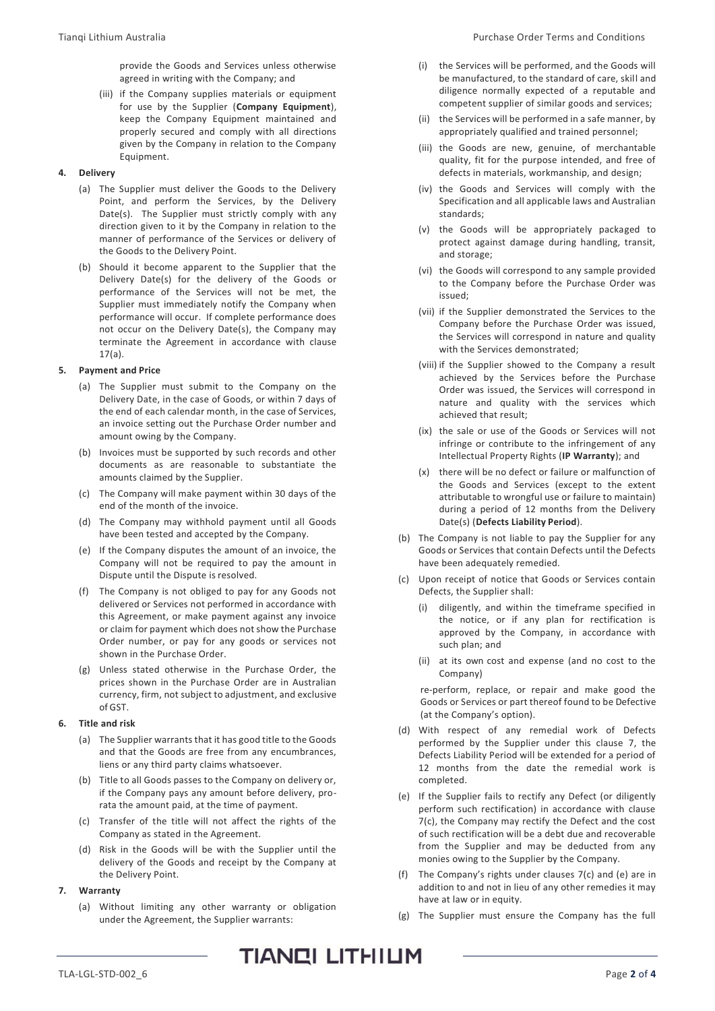provide the Goods and Services unless otherwise agreed in writing with the Company; and

(iii) if the Company supplies materials or equipment for use by the Supplier (**Company Equipment**), keep the Company Equipment maintained and properly secured and comply with all directions given by the Company in relation to the Company Equipment.

# **4. Delivery**

- (a) The Supplier must deliver the Goods to the Delivery Point, and perform the Services, by the Delivery Date(s). The Supplier must strictly comply with any direction given to it by the Company in relation to the manner of performance of the Services or delivery of the Goods to the Delivery Point.
- (b) Should it become apparent to the Supplier that the Delivery Date(s) for the delivery of the Goods or performance of the Services will not be met, the Supplier must immediately notify the Company when performance will occur. If complete performance does not occur on the Delivery Date(s), the Company may terminate the Agreement in accordance with clause [17\(a\).](#page-3-2)

# <span id="page-1-5"></span>**5. Payment and Price**

- (a) The Supplier must submit to the Company on the Delivery Date, in the case of Goods, or within 7 days of the end of each calendar month, in the case of Services, an invoice setting out the Purchase Order number and amount owing by the Company.
- (b) Invoices must be supported by such records and other documents as are reasonable to substantiate the amounts claimed by the Supplier.
- (c) The Company will make payment within 30 days of the end of the month of the invoice.
- (d) The Company may withhold payment until all Goods have been tested and accepted by the Company.
- (e) If the Company disputes the amount of an invoice, the Company will not be required to pay the amount in Dispute until the Dispute is resolved.
- (f) The Company is not obliged to pay for any Goods not delivered or Services not performed in accordance with this Agreement, or make payment against any invoice or claim for payment which does not show the Purchase Order number, or pay for any goods or services not shown in the Purchase Order.
- (g) Unless stated otherwise in the Purchase Order, the prices shown in the Purchase Order are in Australian currency, firm, not subject to adjustment, and exclusive of GST.

## **6. Title and risk**

- (a) The Supplier warrants that it has good title to the Goods and that the Goods are free from any encumbrances, liens or any third party claims whatsoever.
- (b) Title to all Goods passes to the Company on delivery or, if the Company pays any amount before delivery, prorata the amount paid, at the time of payment.
- (c) Transfer of the title will not affect the rights of the Company as stated in the Agreement.
- (d) Risk in the Goods will be with the Supplier until the delivery of the Goods and receipt by the Company at the Delivery Point.

## <span id="page-1-2"></span><span id="page-1-0"></span>**7. Warranty**

(a) Without limiting any other warranty or obligation under the Agreement, the Supplier warrants:

- (i) the Services will be performed, and the Goods will be manufactured, to the standard of care, skill and diligence normally expected of a reputable and competent supplier of similar goods and services;
- (ii) the Services will be performed in a safe manner, by appropriately qualified and trained personnel;
- (iii) the Goods are new, genuine, of merchantable quality, fit for the purpose intended, and free of defects in materials, workmanship, and design;
- <span id="page-1-1"></span>(iv) the Goods and Services will comply with the Specification and all applicable laws and Australian standards;
- (v) the Goods will be appropriately packaged to protect against damage during handling, transit, and storage;
- (vi) the Goods will correspond to any sample provided to the Company before the Purchase Order was issued;
- (vii) if the Supplier demonstrated the Services to the Company before the Purchase Order was issued, the Services will correspond in nature and quality with the Services demonstrated;
- (viii) if the Supplier showed to the Company a result achieved by the Services before the Purchase Order was issued, the Services will correspond in nature and quality with the services which achieved that result;
- (ix) the sale or use of the Goods or Services will not infringe or contribute to the infringement of any Intellectual Property Rights (**IP Warranty**); and
- (x) there will be no defect or failure or malfunction of the Goods and Services (except to the extent attributable to wrongful use or failure to maintain) during a period of 12 months from the Delivery Date(s) (**Defects Liability Period**).
- (b) The Company is not liable to pay the Supplier for any Goods or Services that contain Defects until the Defects have been adequately remedied.
- <span id="page-1-3"></span>(c) Upon receipt of notice that Goods or Services contain Defects, the Supplier shall:
	- (i) diligently, and within the timeframe specified in the notice, or if any plan for rectification is approved by the Company, in accordance with such plan; and
	- (ii) at its own cost and expense (and no cost to the Company)

re-perform, replace, or repair and make good the Goods or Services or part thereof found to be Defective (at the Company's option).

- (d) With respect of any remedial work of Defects performed by the Supplier under this clause [7,](#page-1-2) the Defects Liability Period will be extended for a period of 12 months from the date the remedial work is completed.
- <span id="page-1-4"></span>(e) If the Supplier fails to rectify any Defect (or diligently perform such rectification) in accordance with clause [7\(c\),](#page-1-3) the Company may rectify the Defect and the cost of such rectification will be a debt due and recoverable from the Supplier and may be deducted from any monies owing to the Supplier by the Company.
- (f) The Company's rights under clauses [7\(c\)](#page-1-3) and [\(e\)](#page-1-4) are in addition to and not in lieu of any other remedies it may have at law or in equity.
- (g) The Supplier must ensure the Company has the full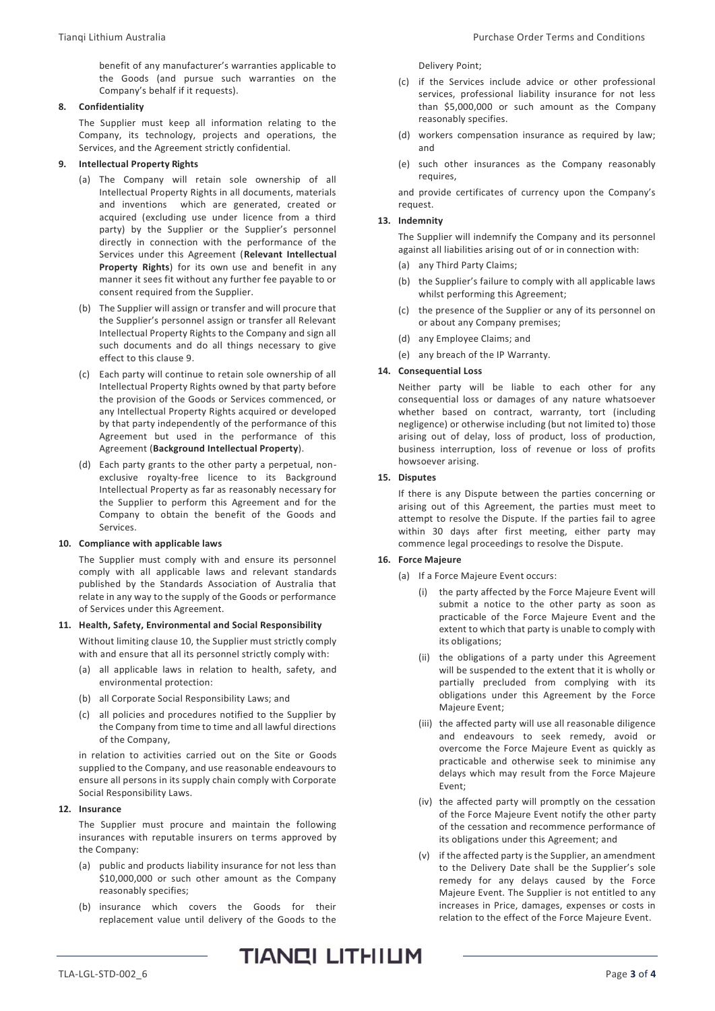benefit of any manufacturer's warranties applicable to the Goods (and pursue such warranties on the Company's behalf if it requests).

## <span id="page-2-0"></span>**8. Confidentiality**

The Supplier must keep all information relating to the Company, its technology, projects and operations, the Services, and the Agreement strictly confidential.

## **9. Intellectual Property Rights**

- (a) The Company will retain sole ownership of all Intellectual Property Rights in all documents, materials and inventions which are generated, created or acquired (excluding use under licence from a third party) by the Supplier or the Supplier's personnel directly in connection with the performance of the Services under this Agreement (**Relevant Intellectual Property Rights**) for its own use and benefit in any manner it sees fit without any further fee payable to or consent required from the Supplier.
- (b) The Supplier will assign or transfer and will procure that the Supplier's personnel assign or transfer all Relevant Intellectual Property Rights to the Company and sign all such documents and do all things necessary to give effect to this clause [9.](#page-2-0)
- (c) Each party will continue to retain sole ownership of all Intellectual Property Rights owned by that party before the provision of the Goods or Services commenced, or any Intellectual Property Rights acquired or developed by that party independently of the performance of this Agreement but used in the performance of this Agreement (**Background Intellectual Property**).
- (d) Each party grants to the other party a perpetual, nonexclusive royalty-free licence to its Background Intellectual Property as far as reasonably necessary for the Supplier to perform this Agreement and for the Company to obtain the benefit of the Goods and Services.

## <span id="page-2-1"></span>**10. Compliance with applicable laws**

The Supplier must comply with and ensure its personnel comply with all applicable laws and relevant standards published by the Standards Association of Australia that relate in any way to the supply of the Goods or performance of Services under this Agreement.

## **11. Health, Safety, Environmental and Social Responsibility**

Without limiting claus[e 10,](#page-2-1) the Supplier must strictly comply with and ensure that all its personnel strictly comply with:

- (a) all applicable laws in relation to health, safety, and environmental protection:
- (b) all Corporate Social Responsibility Laws; and
- (c) all policies and procedures notified to the Supplier by the Company from time to time and all lawful directions of the Company,

in relation to activities carried out on the Site or Goods supplied to the Company, and use reasonable endeavours to ensure all persons in its supply chain comply with Corporate Social Responsibility Laws.

## **12. Insurance**

The Supplier must procure and maintain the following insurances with reputable insurers on terms approved by the Company:

- (a) public and products liability insurance for not less than \$10,000,000 or such other amount as the Company reasonably specifies;
- (b) insurance which covers the Goods for their replacement value until delivery of the Goods to the

Delivery Point;

- (c) if the Services include advice or other professional services, professional liability insurance for not less than \$5,000,000 or such amount as the Company reasonably specifies.
- (d) workers compensation insurance as required by law; and
- (e) such other insurances as the Company reasonably requires,

and provide certificates of currency upon the Company's request.

## **13. Indemnity**

The Supplier will indemnify the Company and its personnel against all liabilities arising out of or in connection with:

- (a) any Third Party Claims;
- (b) the Supplier's failure to comply with all applicable laws whilst performing this Agreement;
- (c) the presence of the Supplier or any of its personnel on or about any Company premises;
- (d) any Employee Claims; and
- (e) any breach of the IP Warranty.

## **14. Consequential Loss**

Neither party will be liable to each other for any consequential loss or damages of any nature whatsoever whether based on contract, warranty, tort (including negligence) or otherwise including (but not limited to) those arising out of delay, loss of product, loss of production, business interruption, loss of revenue or loss of profits howsoever arising.

### **15. Disputes**

If there is any Dispute between the parties concerning or arising out of this Agreement, the parties must meet to attempt to resolve the Dispute. If the parties fail to agree within 30 days after first meeting, either party may commence legal proceedings to resolve the Dispute.

## <span id="page-2-3"></span>**16. Force Majeure**

<span id="page-2-2"></span>(a) If a Force Majeure Event occurs:

- (i) the party affected by the Force Majeure Event will submit a notice to the other party as soon as practicable of the Force Majeure Event and the extent to which that party is unable to comply with its obligations;
- (ii) the obligations of a party under this Agreement will be suspended to the extent that it is wholly or partially precluded from complying with its obligations under this Agreement by the Force Majeure Event;
- (iii) the affected party will use all reasonable diligence and endeavours to seek remedy, avoid or overcome the Force Majeure Event as quickly as practicable and otherwise seek to minimise any delays which may result from the Force Majeure Event;
- (iv) the affected party will promptly on the cessation of the Force Majeure Event notify the other party of the cessation and recommence performance of its obligations under this Agreement; and
- (v) if the affected party is the Supplier, an amendment to the Delivery Date shall be the Supplier's sole remedy for any delays caused by the Force Majeure Event. The Supplier is not entitled to any increases in Price, damages, expenses or costs in relation to the effect of the Force Majeure Event.